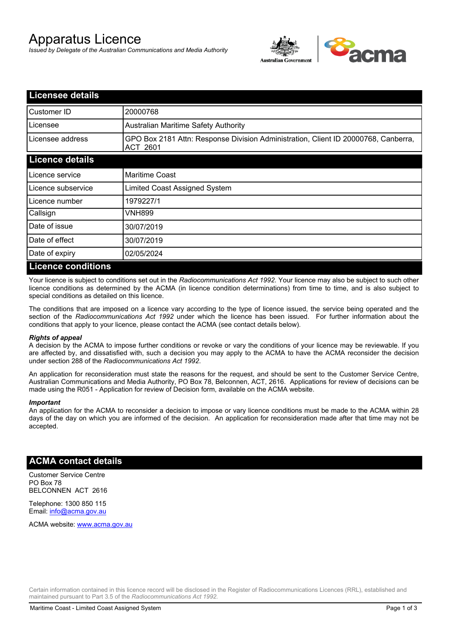# Apparatus Licence

*Issued by Delegate of the Australian Communications and Media Authority*



| <b>Licensee details</b>   |                                                                                                       |
|---------------------------|-------------------------------------------------------------------------------------------------------|
| Customer ID               | 20000768                                                                                              |
| Licensee                  | <b>Australian Maritime Safety Authority</b>                                                           |
| Licensee address          | GPO Box 2181 Attn: Response Division Administration, Client ID 20000768, Canberra,<br><b>ACT 2601</b> |
| <b>Licence details</b>    |                                                                                                       |
| Licence service           | <b>Maritime Coast</b>                                                                                 |
| Licence subservice        | Limited Coast Assigned System                                                                         |
| Licence number            | 1979227/1                                                                                             |
| Callsign                  | VNH899                                                                                                |
| Date of issue             | 30/07/2019                                                                                            |
| Date of effect            | 30/07/2019                                                                                            |
| Date of expiry            | 02/05/2024                                                                                            |
| <b>Licence conditions</b> |                                                                                                       |

Your licence is subject to conditions set out in the *Radiocommunications Act 1992*. Your licence may also be subject to such other licence conditions as determined by the ACMA (in licence condition determinations) from time to time, and is also subject to special conditions as detailed on this licence.

The conditions that are imposed on a licence vary according to the type of licence issued, the service being operated and the section of the *Radiocommunications Act 1992* under which the licence has been issued. For further information about the conditions that apply to your licence, please contact the ACMA (see contact details below).

### *Rights of appeal*

A decision by the ACMA to impose further conditions or revoke or vary the conditions of your licence may be reviewable. If you are affected by, and dissatisfied with, such a decision you may apply to the ACMA to have the ACMA reconsider the decision under section 288 of the *Radiocommunications Act 1992*.

An application for reconsideration must state the reasons for the request, and should be sent to the Customer Service Centre, Australian Communications and Media Authority, PO Box 78, Belconnen, ACT, 2616. Applications for review of decisions can be made using the R051 - Application for review of Decision form, available on the ACMA website.

#### *Important*

An application for the ACMA to reconsider a decision to impose or vary licence conditions must be made to the ACMA within 28 days of the day on which you are informed of the decision. An application for reconsideration made after that time may not be accepted.

### **ACMA contact details**

Customer Service Centre PO Box 78 BELCONNEN ACT 2616

Telephone: 1300 850 115 Email: info@acma.gov.au

ACMA website: www.acma.gov.au

Certain information contained in this licence record will be disclosed in the Register of Radiocommunications Licences (RRL), established and maintained pursuant to Part 3.5 of the *Radiocommunications Act 1992.*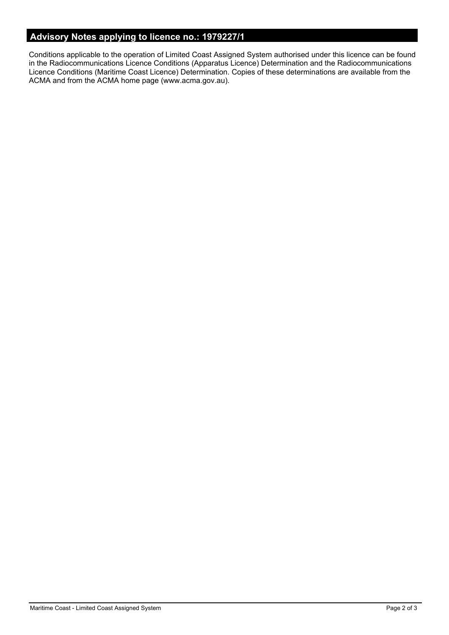# **Advisory Notes applying to licence no.: 1979227/1**

Conditions applicable to the operation of Limited Coast Assigned System authorised under this licence can be found in the Radiocommunications Licence Conditions (Apparatus Licence) Determination and the Radiocommunications Licence Conditions (Maritime Coast Licence) Determination. Copies of these determinations are available from the ACMA and from the ACMA home page (www.acma.gov.au).